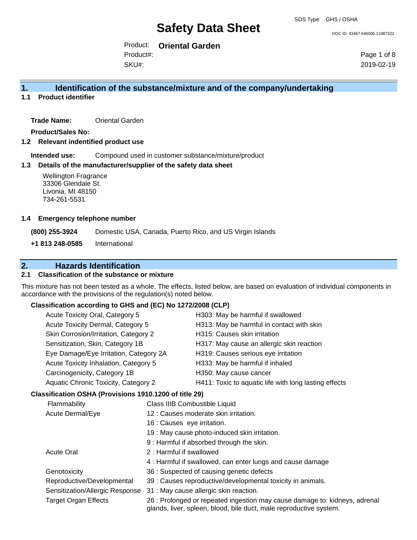DOC ID: 43467.646006.11987322

Product: **Oriental Garden** SKU#: Product#:

Page 1 of 8 2019-02-19

# **1. Identification of the substance/mixture and of the company/undertaking**

**1.1 Product identifier**

**Trade Name:** Oriental Garden

**Product/Sales No:**

**1.2 Relevant indentified product use**

**Intended use:** Compound used in customer substance/mixture/product

#### **1.3 Details of the manufacturer/supplier of the safety data sheet**

#### **1.4 Emergency telephone number**

# **2. Hazards Identification**

# **2.1 Classification of the substance or mixture**

This mixture has not been tested as a whole. The effects, listed below, are based on evaluation of individual components in accordance with the provisions of the regulation(s) noted below.

# **Classification according to GHS and (EC) No 1272/2008 (CLP)**

| <b>Wellington Fragrance</b><br>33306 Glendale St.<br>Livonia, MI 48150<br>734-261-5531 |               |                               |                                                                                                                                                  |
|----------------------------------------------------------------------------------------|---------------|-------------------------------|--------------------------------------------------------------------------------------------------------------------------------------------------|
| <b>Emergency telephone number</b>                                                      |               |                               |                                                                                                                                                  |
| (800) 255-3924                                                                         |               |                               | Domestic USA, Canada, Puerto Rico, and US Virgin Islands                                                                                         |
| +1 813 248-0585                                                                        | International |                               |                                                                                                                                                  |
| <b>Hazards Identification</b>                                                          |               |                               |                                                                                                                                                  |
| <b>Classification of the substance or mixture</b>                                      |               |                               |                                                                                                                                                  |
| cordance with the provisions of the regulation(s) noted below.                         |               |                               | s mixture has not been tested as a whole. The effects, listed below, are based on evaluation of individual componen                              |
| Classification according to GHS and (EC) No 1272/2008 (CLP)                            |               |                               |                                                                                                                                                  |
| Acute Toxicity Oral, Category 5                                                        |               |                               | H303: May be harmful if swallowed                                                                                                                |
| Acute Toxicity Dermal, Category 5                                                      |               |                               | H313: May be harmful in contact with skin                                                                                                        |
| Skin Corrosion/Irritation, Category 2                                                  |               |                               | H315: Causes skin irritation                                                                                                                     |
| Sensitization, Skin, Category 1B                                                       |               |                               | H317: May cause an allergic skin reaction                                                                                                        |
| Eye Damage/Eye Irritation, Category 2A                                                 |               |                               | H319: Causes serious eye irritation                                                                                                              |
| Acute Toxicity Inhalation, Category 5                                                  |               |                               | H333: May be harmful if inhaled                                                                                                                  |
| Carcinogenicity, Category 1B                                                           |               |                               | H350: May cause cancer                                                                                                                           |
| Aquatic Chronic Toxicity, Category 2                                                   |               |                               | H411: Toxic to aquatic life with long lasting effects                                                                                            |
| Classification OSHA (Provisions 1910.1200 of title 29)                                 |               |                               |                                                                                                                                                  |
| Flammability                                                                           |               | Class IIIB Combustible Liquid |                                                                                                                                                  |
| Acute Dermal/Eye                                                                       |               |                               | 12 : Causes moderate skin irritation.                                                                                                            |
|                                                                                        |               | 16 : Causes eye irritation.   |                                                                                                                                                  |
|                                                                                        |               |                               | 19 : May cause photo-induced skin irritation.                                                                                                    |
|                                                                                        |               |                               | 9 : Harmful if absorbed through the skin.                                                                                                        |
| <b>Acute Oral</b>                                                                      |               | 2: Harmful if swallowed       |                                                                                                                                                  |
|                                                                                        |               |                               | 4 : Harmful if swallowed, can enter lungs and cause damage                                                                                       |
| Genotoxicity                                                                           |               |                               | 36 : Suspected of causing genetic defects                                                                                                        |
| Reproductive/Developmental                                                             |               |                               | 39 : Causes reproductive/developmental toxicity in animals.                                                                                      |
| Sensitization/Allergic Response                                                        |               |                               | 31 : May cause allergic skin reaction.                                                                                                           |
| <b>Target Organ Effects</b>                                                            |               |                               | 26 : Prolonged or repeated ingestion may cause damage to: kidneys, adrenal<br>glands, liver, spleen, blood, bile duct, male reproductive system. |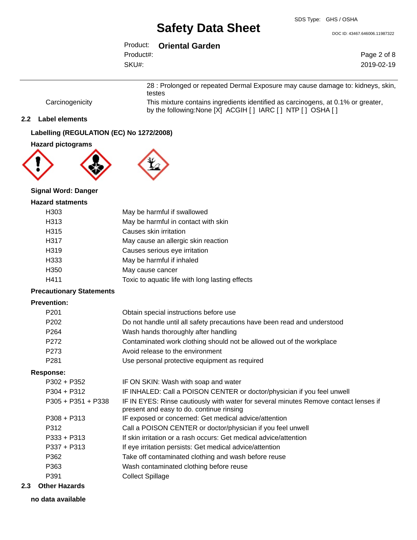DOC ID: 43467.646006.11987322

|           | Product: Oriental Garden |  |
|-----------|--------------------------|--|
| Product#: |                          |  |
| SKU#:     |                          |  |

Page 2 of 8 2019-02-19

28 : Prolonged or repeated Dermal Exposure may cause damage to: kidneys, skin, testes

Carcinogenicity This mixture contains ingredients identified as carcinogens, at 0.1% or greater, by the following:None [X] ACGIH [ ] IARC [ ] NTP [ ] OSHA [ ]

### **2.2 Label elements**

# **Labelling (REGULATION (EC) No 1272/2008)**

### **Hazard pictograms**





## **Signal Word: Danger**

#### **Hazard statments**

| H <sub>303</sub> | May be harmful if swallowed                     |
|------------------|-------------------------------------------------|
| H313             | May be harmful in contact with skin             |
| H315             | Causes skin irritation                          |
| H317             | May cause an allergic skin reaction             |
| H319             | Causes serious eye irritation                   |
| H333             | May be harmful if inhaled                       |
| H350             | May cause cancer                                |
| H411             | Toxic to aquatic life with long lasting effects |

#### **Precautionary Statements**

#### **Prevention:**

| P201             | Obtain special instructions before use                                   |
|------------------|--------------------------------------------------------------------------|
| P <sub>202</sub> | Do not handle until all safety precautions have been read and understood |
| P <sub>264</sub> | Wash hands thoroughly after handling                                     |
| P272             | Contaminated work clothing should not be allowed out of the workplace    |
| P273             | Avoid release to the environment                                         |
| P <sub>281</sub> | Use personal protective equipment as required                            |
|                  |                                                                          |

#### **Response:**

| P302 + P352        | IF ON SKIN: Wash with soap and water                                                                                             |
|--------------------|----------------------------------------------------------------------------------------------------------------------------------|
| P304 + P312        | IF INHALED: Call a POISON CENTER or doctor/physician if you feel unwell                                                          |
| P305 + P351 + P338 | IF IN EYES: Rinse cautiously with water for several minutes Remove contact lenses if<br>present and easy to do. continue rinsing |
| P308 + P313        | IF exposed or concerned: Get medical advice/attention                                                                            |
| P312               | Call a POISON CENTER or doctor/physician if you feel unwell                                                                      |
| P333 + P313        | If skin irritation or a rash occurs: Get medical advice/attention                                                                |
| P337 + P313        | If eye irritation persists: Get medical advice/attention                                                                         |
| P362               | Take off contaminated clothing and wash before reuse                                                                             |
| P363               | Wash contaminated clothing before reuse                                                                                          |
| P391               | <b>Collect Spillage</b>                                                                                                          |
|                    |                                                                                                                                  |

#### **2.3 Other Hazards**

### **no data available**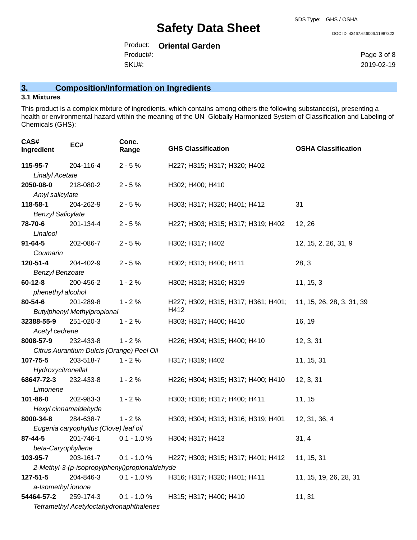#### DOC ID: 43467.646006.11987322

Product: **Oriental Garden** SKU#: Product#:

Page 3 of 8 2019-02-19

# **3. Composition/Information on Ingredients**

## **3.1 Mixtures**

This product is a complex mixture of ingredients, which contains among others the following substance(s), presenting a health or environmental hazard within the meaning of the UN Globally Harmonized System of Classification and Labeling of Chemicals (GHS):

| CAS#<br>Ingredient                            | EC#                                             | Conc.<br>Range | <b>GHS Classification</b>                   | <b>OSHA Classification</b> |
|-----------------------------------------------|-------------------------------------------------|----------------|---------------------------------------------|----------------------------|
| 115-95-7                                      | 204-116-4                                       | $2 - 5%$       | H227; H315; H317; H320; H402                |                            |
| <b>Linalyl Acetate</b>                        |                                                 |                |                                             |                            |
| 2050-08-0                                     | 218-080-2                                       | $2 - 5%$       | H302; H400; H410                            |                            |
| Amyl salicylate                               |                                                 |                |                                             |                            |
| 118-58-1                                      | 204-262-9                                       | $2 - 5%$       | H303; H317; H320; H401; H412                | 31                         |
| <b>Benzyl Salicylate</b>                      |                                                 |                |                                             |                            |
| 78-70-6                                       | 201-134-4                                       | $2 - 5%$       | H227; H303; H315; H317; H319; H402          | 12, 26                     |
| Linalool                                      |                                                 |                |                                             |                            |
| $91 - 64 - 5$                                 | 202-086-7                                       | $2 - 5%$       | H302; H317; H402                            | 12, 15, 2, 26, 31, 9       |
| Coumarin                                      |                                                 |                |                                             |                            |
| 120-51-4                                      | 204-402-9                                       | $2 - 5%$       | H302; H313; H400; H411                      | 28, 3                      |
| <b>Benzyl Benzoate</b>                        |                                                 |                |                                             |                            |
| $60 - 12 - 8$                                 | 200-456-2                                       | $1 - 2%$       | H302; H313; H316; H319                      | 11, 15, 3                  |
| phenethyl alcohol                             |                                                 |                |                                             |                            |
| 80-54-6                                       | 201-289-8                                       | $1 - 2%$       | H227; H302; H315; H317; H361; H401;<br>H412 | 11, 15, 26, 28, 3, 31, 39  |
| 32388-55-9                                    | <b>Butylphenyl Methylpropional</b><br>251-020-3 | $1 - 2%$       | H303; H317; H400; H410                      | 16, 19                     |
| Acetyl cedrene                                |                                                 |                |                                             |                            |
| 8008-57-9                                     | 232-433-8                                       | $1 - 2%$       | H226; H304; H315; H400; H410                | 12, 3, 31                  |
|                                               | Citrus Aurantium Dulcis (Orange) Peel Oil       |                |                                             |                            |
| 107-75-5                                      | 203-518-7                                       | $1 - 2%$       | H317; H319; H402                            | 11, 15, 31                 |
| Hydroxycitronellal                            |                                                 |                |                                             |                            |
| 68647-72-3                                    | 232-433-8                                       | $1 - 2%$       | H226; H304; H315; H317; H400; H410          | 12, 3, 31                  |
| Limonene                                      |                                                 |                |                                             |                            |
| 101-86-0                                      | 202-983-3                                       | $1 - 2%$       | H303; H316; H317; H400; H411                | 11, 15                     |
|                                               | Hexyl cinnamaldehyde                            |                |                                             |                            |
| 8000-34-8                                     | 284-638-7                                       | $1 - 2%$       | H303; H304; H313; H316; H319; H401          | 12, 31, 36, 4              |
|                                               | Eugenia caryophyllus (Clove) leaf oil           |                |                                             |                            |
| 87-44-5                                       | 201-746-1                                       | $0.1 - 1.0 %$  | H304; H317; H413                            | 31, 4                      |
| beta-Caryophyllene                            |                                                 |                |                                             |                            |
| 103-95-7                                      | 203-161-7                                       | $0.1 - 1.0 %$  | H227; H303; H315; H317; H401; H412          | 11, 15, 31                 |
| 2-Methyl-3-(p-isopropylphenyl)propionaldehyde |                                                 |                |                                             |                            |
| 127-51-5                                      | 204-846-3                                       | $0.1 - 1.0 \%$ | H316; H317; H320; H401; H411                | 11, 15, 19, 26, 28, 31     |
| a-Isomethyl ionone                            |                                                 |                |                                             |                            |
| 54464-57-2                                    | 259-174-3                                       | $0.1 - 1.0 %$  | H315; H317; H400; H410                      | 11, 31                     |
|                                               | Tetramethyl Acetyloctahydronaphthalenes         |                |                                             |                            |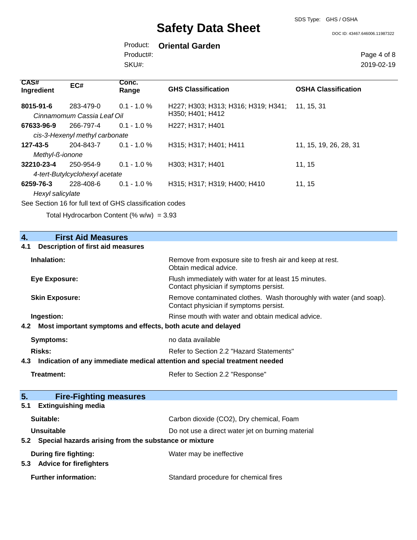SDS Type: GHS / OSHA

DOC ID: 43467.646006.11987322

Product: **Oriental Garden** Product#:

SKU#:

Page 4 of 8 2019-02-19

| <b>CAS#</b><br>Ingredient         | EC#                                         | Conc.<br>Range | <b>GHS Classification</b>                               | <b>OSHA Classification</b> |
|-----------------------------------|---------------------------------------------|----------------|---------------------------------------------------------|----------------------------|
| 8015-91-6                         | 283-479-0<br>Cinnamomum Cassia Leaf Oil     | $0.1 - 1.0 \%$ | H227; H303; H313; H316; H319; H341;<br>H350; H401; H412 | 11, 15, 31                 |
| 67633-96-9                        | 266-797-4<br>cis-3-Hexenyl methyl carbonate | $0.1 - 1.0 \%$ | H <sub>227</sub> ; H <sub>317</sub> ; H <sub>401</sub>  |                            |
| $127 - 43 - 5$<br>Methyl-ß-ionone | 204-843-7                                   | $0.1 - 1.0 \%$ | H315; H317; H401; H411                                  | 11, 15, 19, 26, 28, 31     |
| 32210-23-4                        | 250-954-9<br>4-tert-Butylcyclohexyl acetate | $0.1 - 1.0 \%$ | H303; H317; H401                                        | 11, 15                     |
| 6259-76-3<br>Hexyl salicylate     | 228-408-6                                   | $0.1 - 1.0 \%$ | H315; H317; H319; H400; H410                            | 11, 15                     |

See Section 16 for full text of GHS classification codes

Total Hydrocarbon Content  $(\% w/w) = 3.93$ 

| <b>First Aid Measures</b><br>4.                                                   |                                                                                                               |  |
|-----------------------------------------------------------------------------------|---------------------------------------------------------------------------------------------------------------|--|
| <b>Description of first aid measures</b><br>4.1                                   |                                                                                                               |  |
| Inhalation:                                                                       | Remove from exposure site to fresh air and keep at rest.<br>Obtain medical advice.                            |  |
| <b>Eye Exposure:</b>                                                              | Flush immediately with water for at least 15 minutes.<br>Contact physician if symptoms persist.               |  |
| <b>Skin Exposure:</b>                                                             | Remove contaminated clothes. Wash thoroughly with water (and soap).<br>Contact physician if symptoms persist. |  |
| Ingestion:                                                                        | Rinse mouth with water and obtain medical advice.                                                             |  |
| Most important symptoms and effects, both acute and delayed<br>4.2                |                                                                                                               |  |
| <b>Symptoms:</b>                                                                  | no data available                                                                                             |  |
| Risks:                                                                            | Refer to Section 2.2 "Hazard Statements"                                                                      |  |
| Indication of any immediate medical attention and special treatment needed<br>4.3 |                                                                                                               |  |
| <b>Treatment:</b>                                                                 | Refer to Section 2.2 "Response"                                                                               |  |
|                                                                                   |                                                                                                               |  |
| 5.<br><b>Fire-Fighting measures</b>                                               |                                                                                                               |  |
| <b>Extinguishing media</b><br>5.1                                                 |                                                                                                               |  |
| Suitable:                                                                         | Carbon dioxide (CO2), Dry chemical, Foam                                                                      |  |
| Unsuitable                                                                        | Do not use a direct water jet on burning material                                                             |  |
| 5.2 Special hazards arising from the substance or mixture                         |                                                                                                               |  |
| During fire fighting:<br><b>Advice for firefighters</b><br>5.3                    | Water may be ineffective                                                                                      |  |
| <b>Further information:</b>                                                       | Standard procedure for chemical fires                                                                         |  |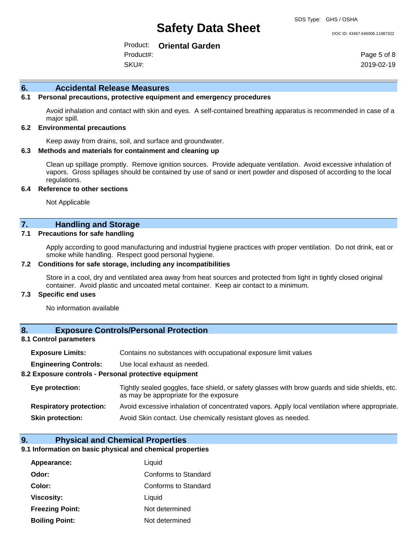#### DOC ID: 43467.646006.11987322

Product: **Oriental Garden** Product#:

SKU#:

Page 5 of 8 2019-02-19

#### **6. Accidental Release Measures**

## **6.1 Personal precautions, protective equipment and emergency procedures**

Avoid inhalation and contact with skin and eyes. A self-contained breathing apparatus is recommended in case of a major spill.

#### **6.2 Environmental precautions**

Keep away from drains, soil, and surface and groundwater.

#### **6.3 Methods and materials for containment and cleaning up**

Clean up spillage promptly. Remove ignition sources. Provide adequate ventilation. Avoid excessive inhalation of vapors. Gross spillages should be contained by use of sand or inert powder and disposed of according to the local regulations.

#### **6.4 Reference to other sections**

Not Applicable

# **7. Handling and Storage**

## **7.1 Precautions for safe handling**

Apply according to good manufacturing and industrial hygiene practices with proper ventilation. Do not drink, eat or smoke while handling. Respect good personal hygiene.

#### **7.2 Conditions for safe storage, including any incompatibilities**

Store in a cool, dry and ventilated area away from heat sources and protected from light in tightly closed original container. Avoid plastic and uncoated metal container. Keep air contact to a minimum.

# **7.3 Specific end uses**

No information available

### **8. Exposure Controls/Personal Protection**

#### **8.1 Control parameters**

| <b>Exposure Limits:</b>                               | Contains no substances with occupational exposure limit values                                                                           |  |  |
|-------------------------------------------------------|------------------------------------------------------------------------------------------------------------------------------------------|--|--|
| <b>Engineering Controls:</b>                          | Use local exhaust as needed.                                                                                                             |  |  |
| 8.2 Exposure controls - Personal protective equipment |                                                                                                                                          |  |  |
| Eye protection:                                       | Tightly sealed goggles, face shield, or safety glasses with brow guards and side shields, etc.<br>as may be appropriate for the exposure |  |  |
| <b>Respiratory protection:</b>                        | Avoid excessive inhalation of concentrated vapors. Apply local ventilation where appropriate.                                            |  |  |
| <b>Skin protection:</b>                               | Avoid Skin contact. Use chemically resistant gloves as needed.                                                                           |  |  |

# **9. Physical and Chemical Properties**

### **9.1 Information on basic physical and chemical properties**

| Appearance:            | Liquid               |
|------------------------|----------------------|
| Odor:                  | Conforms to Standard |
| Color:                 | Conforms to Standard |
| <b>Viscosity:</b>      | Liquid               |
| <b>Freezing Point:</b> | Not determined       |
| <b>Boiling Point:</b>  | Not determined       |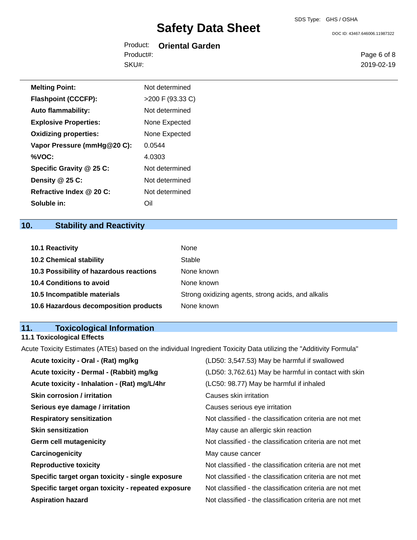DOC ID: 43467.646006.11987322

|           | Product: Oriental Garden |
|-----------|--------------------------|
| Product#: |                          |
| SKU#:     |                          |

Page 6 of 8 2019-02-19

| <b>Melting Point:</b>        | Not determined   |
|------------------------------|------------------|
| <b>Flashpoint (CCCFP):</b>   | >200 F (93.33 C) |
| <b>Auto flammability:</b>    | Not determined   |
| <b>Explosive Properties:</b> | None Expected    |
| <b>Oxidizing properties:</b> | None Expected    |
| Vapor Pressure (mmHg@20 C):  | 0.0544           |
| %VOC:                        | 4.0303           |
| Specific Gravity @ 25 C:     | Not determined   |
| Density @ 25 C:              | Not determined   |
| Refractive Index @ 20 C:     | Not determined   |
| Soluble in:                  | Oil              |

# **10. Stability and Reactivity**

| 10.1 Reactivity                         | None                                               |
|-----------------------------------------|----------------------------------------------------|
| <b>10.2 Chemical stability</b>          | Stable                                             |
| 10.3 Possibility of hazardous reactions | None known                                         |
| <b>10.4 Conditions to avoid</b>         | None known                                         |
| 10.5 Incompatible materials             | Strong oxidizing agents, strong acids, and alkalis |
| 10.6 Hazardous decomposition products   | None known                                         |

# **11. Toxicological Information**

#### **11.1 Toxicological Effects**

Acute Toxicity Estimates (ATEs) based on the individual Ingredient Toxicity Data utilizing the "Additivity Formula"

| (LD50: 3,762.61) May be harmful in contact with skin<br>Acute toxicity - Dermal - (Rabbit) mg/kg               |
|----------------------------------------------------------------------------------------------------------------|
| Acute toxicity - Inhalation - (Rat) mg/L/4hr<br>(LC50: 98.77) May be harmful if inhaled                        |
| <b>Skin corrosion / irritation</b><br>Causes skin irritation                                                   |
| Serious eye damage / irritation<br>Causes serious eye irritation                                               |
| Not classified - the classification criteria are not met<br><b>Respiratory sensitization</b>                   |
| <b>Skin sensitization</b><br>May cause an allergic skin reaction                                               |
| Not classified - the classification criteria are not met<br><b>Germ cell mutagenicity</b>                      |
| Carcinogenicity<br>May cause cancer                                                                            |
| Not classified - the classification criteria are not met<br><b>Reproductive toxicity</b>                       |
| Specific target organ toxicity - single exposure<br>Not classified - the classification criteria are not met   |
| Specific target organ toxicity - repeated exposure<br>Not classified - the classification criteria are not met |
| Not classified - the classification criteria are not met<br><b>Aspiration hazard</b>                           |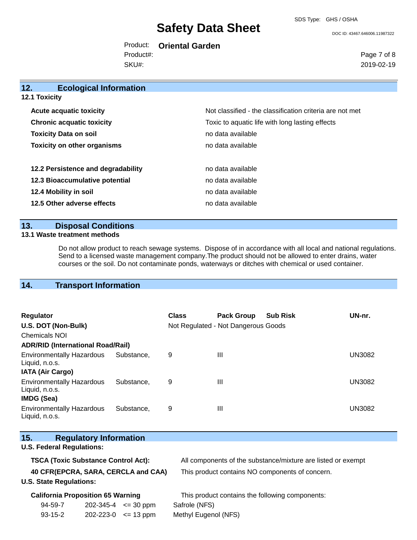SDS Type: GHS / OSHA

DOC ID: 43467.646006.11987322

Product: **Oriental Garden** SKU#: Product#:

Page 7 of 8 2019-02-19

| 12.                  | <b>Ecological Information</b>      |                                                          |
|----------------------|------------------------------------|----------------------------------------------------------|
| <b>12.1 Toxicity</b> |                                    |                                                          |
|                      | <b>Acute acquatic toxicity</b>     | Not classified - the classification criteria are not met |
|                      | <b>Chronic acquatic toxicity</b>   | Toxic to aquatic life with long lasting effects          |
|                      | <b>Toxicity Data on soil</b>       | no data available                                        |
|                      | <b>Toxicity on other organisms</b> | no data available                                        |
|                      |                                    |                                                          |
|                      | 12.2 Persistence and degradability | no data available                                        |
|                      | 12.3 Bioaccumulative potential     | no data available                                        |
|                      | 12.4 Mobility in soil              | no data available                                        |
|                      | 12.5 Other adverse effects         | no data available                                        |
|                      |                                    |                                                          |

# **13. Disposal Conditions**

### **13.1 Waste treatment methods**

Do not allow product to reach sewage systems. Dispose of in accordance with all local and national regulations. Send to a licensed waste management company.The product should not be allowed to enter drains, water courses or the soil. Do not contaminate ponds, waterways or ditches with chemical or used container.

# **14. Transport Information**

| <b>Regulator</b><br>U.S. DOT (Non-Bulk)<br>Chemicals NOI                |            | <b>Class</b> | <b>Pack Group</b><br>Not Regulated - Not Dangerous Goods | <b>Sub Risk</b> | UN-nr.        |
|-------------------------------------------------------------------------|------------|--------------|----------------------------------------------------------|-----------------|---------------|
| <b>ADR/RID (International Road/Rail)</b>                                |            |              |                                                          |                 |               |
| <b>Environmentally Hazardous</b><br>Liquid, n.o.s.                      | Substance, | 9            | Ш                                                        |                 | <b>UN3082</b> |
| <b>IATA (Air Cargo)</b>                                                 |            |              |                                                          |                 |               |
| <b>Environmentally Hazardous</b><br>Liquid, n.o.s.<br><b>IMDG (Sea)</b> | Substance. | 9            | Ш                                                        |                 | UN3082        |
| <b>Environmentally Hazardous</b><br>Liquid, n.o.s.                      | Substance. | 9            | $\mathbf{III}$                                           |                 | UN3082        |

| 15.<br><b>Regulatory Information</b>       |                                                              |
|--------------------------------------------|--------------------------------------------------------------|
| <b>U.S. Federal Regulations:</b>           |                                                              |
| <b>TSCA (Toxic Substance Control Act):</b> | All components of the substance/mixture are listed or exempt |
| 40 CFR(EPCRA, SARA, CERCLA and CAA)        | This product contains NO components of concern.              |
| <b>U.S. State Regulations:</b>             |                                                              |
| <b>California Proposition 65 Warning</b>   | This product contains the following components:              |

94-59-7 93-15-2 202-345-4 <= 30 ppm Safrole (NFS) 202-223-0 <= 13 ppm Methyl Eugenol (NFS)

 $\mathcal{N}_{\mathrm{S}}$